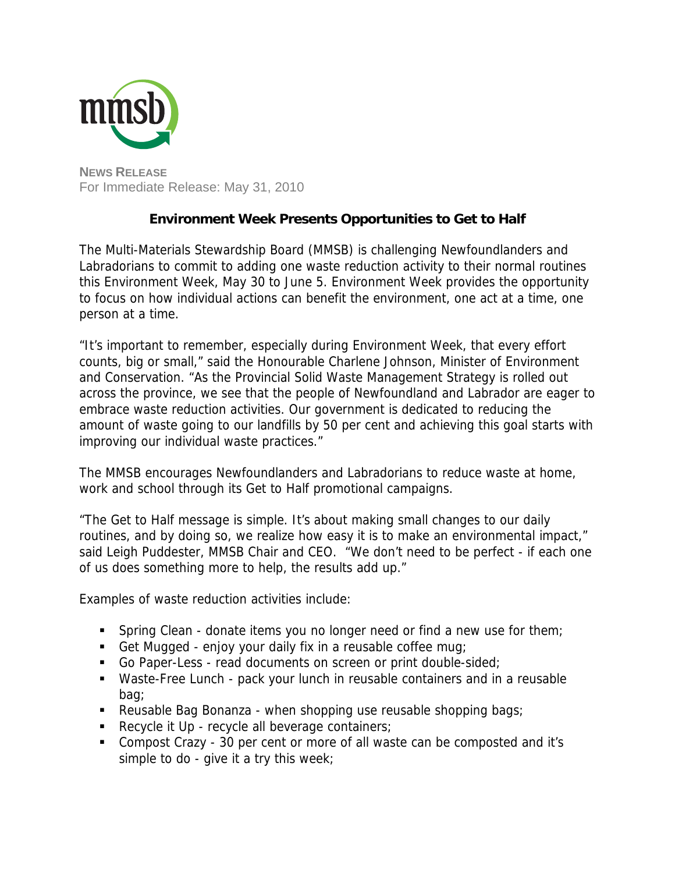

**NEWS RELEASE** For Immediate Release: May 31, 2010

## **Environment Week Presents Opportunities to Get to Half**

The Multi-Materials Stewardship Board (MMSB) is challenging Newfoundlanders and Labradorians to commit to adding one waste reduction activity to their normal routines this Environment Week, May 30 to June 5. Environment Week provides the opportunity to focus on how individual actions can benefit the environment, one act at a time, one person at a time.

"It's important to remember, especially during Environment Week, that every effort counts, big or small," said the Honourable Charlene Johnson, Minister of Environment and Conservation. "As the Provincial Solid Waste Management Strategy is rolled out across the province, we see that the people of Newfoundland and Labrador are eager to embrace waste reduction activities. Our government is dedicated to reducing the amount of waste going to our landfills by 50 per cent and achieving this goal starts with improving our individual waste practices."

The MMSB encourages Newfoundlanders and Labradorians to reduce waste at home, work and school through its Get to Half promotional campaigns.

"The Get to Half message is simple. It's about making small changes to our daily routines, and by doing so, we realize how easy it is to make an environmental impact," said Leigh Puddester, MMSB Chair and CEO. "We don't need to be perfect - if each one of us does something more to help, the results add up."

Examples of waste reduction activities include:

- Spring Clean donate items you no longer need or find a new use for them;
- Get Mugged enjoy your daily fix in a reusable coffee mug;
- Go Paper-Less read documents on screen or print double-sided;
- Waste-Free Lunch pack your lunch in reusable containers and in a reusable bag;
- Reusable Bag Bonanza when shopping use reusable shopping bags;
- Recycle it Up recycle all beverage containers;
- Compost Crazy 30 per cent or more of all waste can be composted and it's simple to do - give it a try this week;